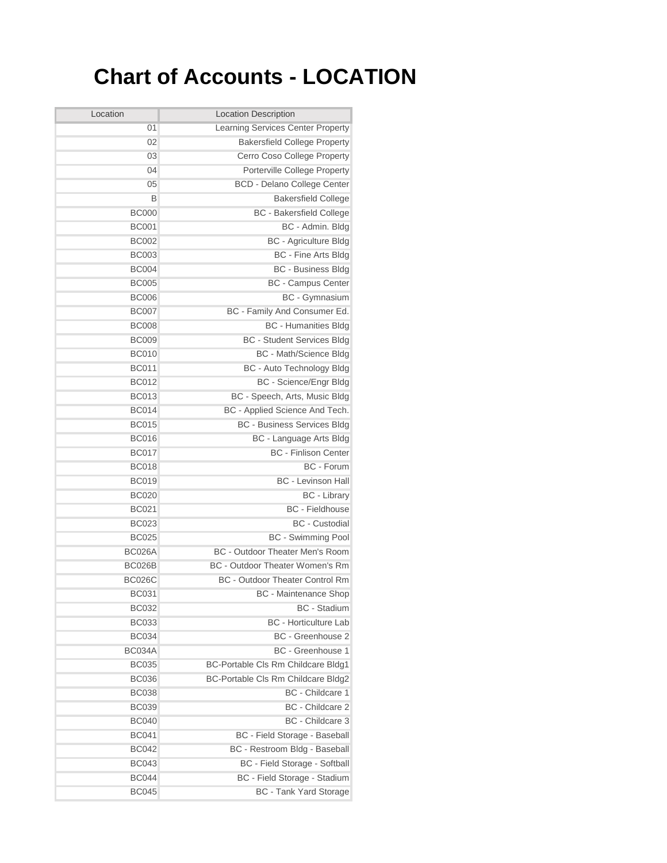## **Chart of Accounts - LOCATION**

| Location      | <b>Location Description</b>            |  |
|---------------|----------------------------------------|--|
| 01            | Learning Services Center Property      |  |
| 02            | <b>Bakersfield College Property</b>    |  |
| 03            | Cerro Coso College Property            |  |
| 04            | Porterville College Property           |  |
| 05            | BCD - Delano College Center            |  |
| B             | <b>Bakersfield College</b>             |  |
| <b>BC000</b>  | <b>BC</b> - Bakersfield College        |  |
| <b>BC001</b>  | BC - Admin. Bldg                       |  |
| <b>BC002</b>  | <b>BC</b> - Agriculture Bldg           |  |
| <b>BC003</b>  | <b>BC</b> - Fine Arts Bldg             |  |
| <b>BC004</b>  | <b>BC</b> - Business Bldg              |  |
| <b>BC005</b>  | <b>BC</b> - Campus Center              |  |
| <b>BC006</b>  | <b>BC</b> - Gymnasium                  |  |
| <b>BC007</b>  | BC - Family And Consumer Ed.           |  |
| <b>BC008</b>  | <b>BC</b> - Humanities Bldg            |  |
| <b>BC009</b>  | <b>BC</b> - Student Services Bldg      |  |
| <b>BC010</b>  | <b>BC</b> - Math/Science Bldg          |  |
| <b>BC011</b>  | <b>BC</b> - Auto Technology Bldg       |  |
| <b>BC012</b>  | <b>BC</b> - Science/Engr Bldg          |  |
| <b>BC013</b>  | BC - Speech, Arts, Music Bldg          |  |
| <b>BC014</b>  | BC - Applied Science And Tech.         |  |
| <b>BC015</b>  | <b>BC - Business Services Bldg</b>     |  |
| <b>BC016</b>  | BC - Language Arts Bldg                |  |
| <b>BC017</b>  | <b>BC</b> - Finlison Center            |  |
| <b>BC018</b>  | BC - Forum                             |  |
| <b>BC019</b>  | <b>BC</b> - Levinson Hall              |  |
| <b>BC020</b>  | <b>BC</b> - Library                    |  |
| <b>BC021</b>  | <b>BC</b> - Fieldhouse                 |  |
| <b>BC023</b>  | <b>BC</b> - Custodial                  |  |
| <b>BC025</b>  | <b>BC</b> - Swimming Pool              |  |
| <b>BC026A</b> | <b>BC</b> - Outdoor Theater Men's Room |  |
| BC026B        | <b>BC</b> - Outdoor Theater Women's Rm |  |
| <b>BC026C</b> | <b>BC</b> - Outdoor Theater Control Rm |  |
| <b>BC031</b>  | <b>BC</b> - Maintenance Shop           |  |
| <b>BC032</b>  | BC - Stadium                           |  |
| <b>BC033</b>  | <b>BC</b> - Horticulture Lab           |  |
| <b>BC034</b>  | BC - Greenhouse 2                      |  |
| <b>BC034A</b> | BC - Greenhouse 1                      |  |
| <b>BC035</b>  | BC-Portable Cls Rm Childcare Bldg1     |  |
| <b>BC036</b>  | BC-Portable Cls Rm Childcare Bldg2     |  |
| <b>BC038</b>  | BC - Childcare 1                       |  |
| <b>BC039</b>  | BC - Childcare 2                       |  |
| <b>BC040</b>  | BC - Childcare 3                       |  |
| <b>BC041</b>  | BC - Field Storage - Baseball          |  |
| <b>BC042</b>  | BC - Restroom Bldg - Baseball          |  |
| <b>BC043</b>  | BC - Field Storage - Softball          |  |
| <b>BC044</b>  | BC - Field Storage - Stadium           |  |
| <b>BC045</b>  | <b>BC</b> - Tank Yard Storage          |  |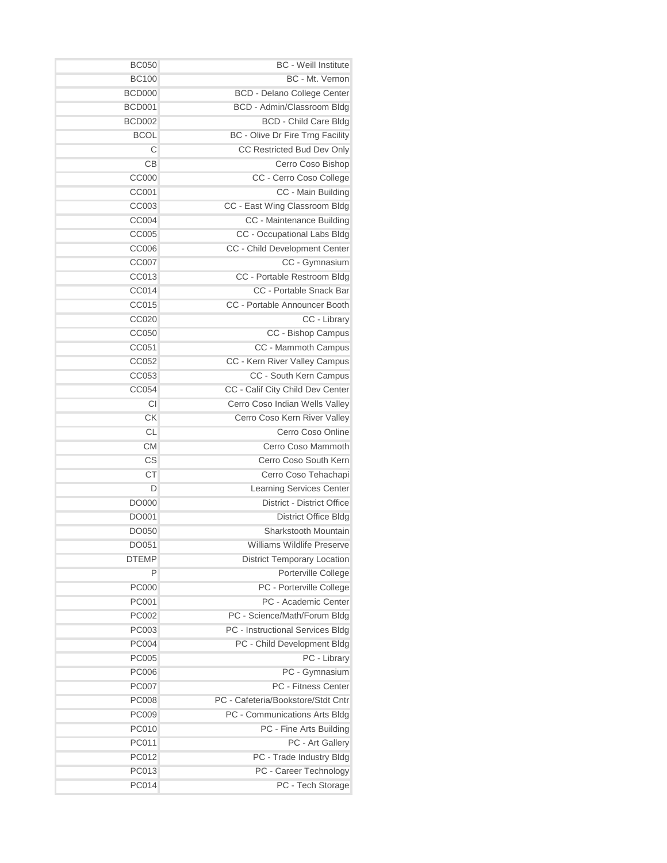| <b>BC</b> - Weill Institute                        | <b>BC050</b>  |
|----------------------------------------------------|---------------|
| BC - Mt. Vernon                                    | <b>BC100</b>  |
| <b>BCD - Delano College Center</b>                 | BCD000        |
| BCD - Admin/Classroom Bldg                         | <b>BCD001</b> |
| <b>BCD - Child Care Bldg</b>                       | <b>BCD002</b> |
| BC - Olive Dr Fire Trng Facility                   | <b>BCOL</b>   |
| CC Restricted Bud Dev Only                         | C             |
| Cerro Coso Bishop                                  | CВ            |
| CC - Cerro Coso College                            | <b>CC000</b>  |
| CC - Main Building                                 | CC001         |
| CC - East Wing Classroom Bldg                      | CC003         |
| CC - Maintenance Building                          | <b>CC004</b>  |
| CC - Occupational Labs Bldg                        | <b>CC005</b>  |
| CC - Child Development Center                      | CC006         |
| CC - Gymnasium                                     | <b>CC007</b>  |
| CC - Portable Restroom Bldg                        | CC013         |
| CC - Portable Snack Bar                            | CC014         |
| CC - Portable Announcer Booth                      | CC015         |
| CC - Library                                       | <b>CC020</b>  |
| CC - Bishop Campus                                 | CC050         |
| CC - Mammoth Campus                                | CC051         |
| CC - Kern River Valley Campus                      | CC052         |
| CC - South Kern Campus                             | CC053         |
| CC - Calif City Child Dev Center                   | CC054         |
| Cerro Coso Indian Wells Valley                     | CI            |
| Cerro Coso Kern River Valley                       | СK            |
| Cerro Coso Online                                  | <b>CL</b>     |
| Cerro Coso Mammoth                                 | <b>CM</b>     |
| Cerro Coso South Kern                              | CS            |
| Cerro Coso Tehachapi                               | СT            |
|                                                    | D             |
| <b>Learning Services Center</b>                    |               |
| <b>District - District Office</b>                  | DO000         |
| <b>District Office Bldg</b>                        | DO001         |
| Sharkstooth Mountain                               | DO050         |
| Williams Wildlife Preservel                        | DO051         |
| <b>District Temporary Location</b><br><b>DTEMP</b> |               |
| Porterville College                                | P             |
| PC - Porterville College                           | <b>PC000</b>  |
| PC - Academic Center                               | PC001         |
| PC - Science/Math/Forum Bldg                       | <b>PC002</b>  |
| PC - Instructional Services Bldg                   | <b>PC003</b>  |
| PC - Child Development Bldg                        | <b>PC004</b>  |
| PC - Library                                       | <b>PC005</b>  |
| PC - Gymnasium                                     | <b>PC006</b>  |
| PC - Fitness Center                                | PC007         |
| PC - Cafeteria/Bookstore/Stdt Cntr                 | <b>PC008</b>  |
| PC - Communications Arts Bldg                      | <b>PC009</b>  |
| PC - Fine Arts Building                            | <b>PC010</b>  |
| PC - Art Gallery                                   | PC011         |
| PC - Trade Industry Bldg                           | PC012         |
| PC - Career Technology                             | PC013         |
| PC - Tech Storage                                  | PC014         |
|                                                    |               |